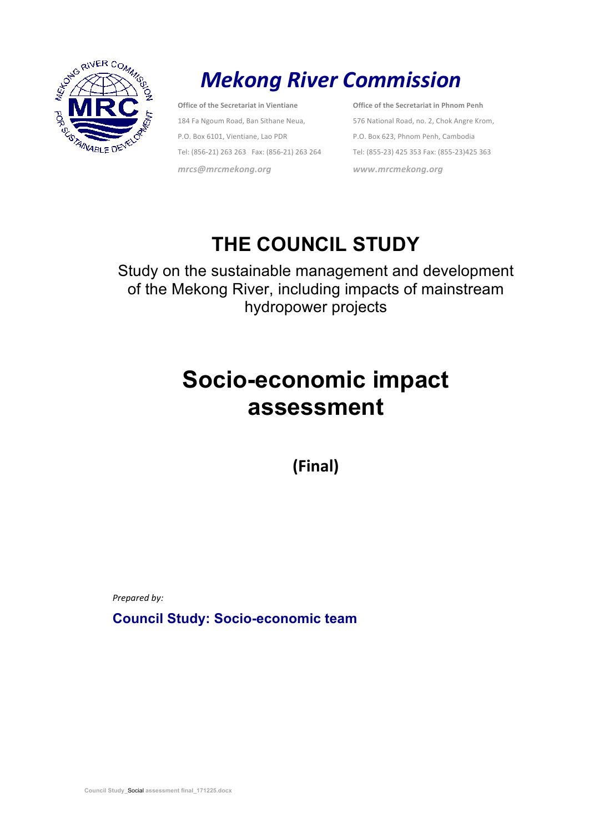

# *Mekong River Commission*

**Office of the Secretariat in Vientiane** 184 Fa Ngoum Road, Ban Sithane Neua, P.O. Box 6101, Vientiane, Lao PDR Tel: (856-21) 263 263 Fax: (856-21) 263 264 *mrcs@mrcmekong.org www.mrcmekong.org*

**Office of the Secretariat in Phnom Penh** 576 National Road, no. 2, Chok Angre Krom, P.O. Box 623, Phnom Penh, Cambodia Tel: (855-23) 425 353 Fax: (855-23)425 363

# **THE COUNCIL STUDY**

Study on the sustainable management and development of the Mekong River, including impacts of mainstream hydropower projects

# **Socio-economic impact assessment**

**(Final)**

**Prepared** by:

**Council Study: Socio-economic team**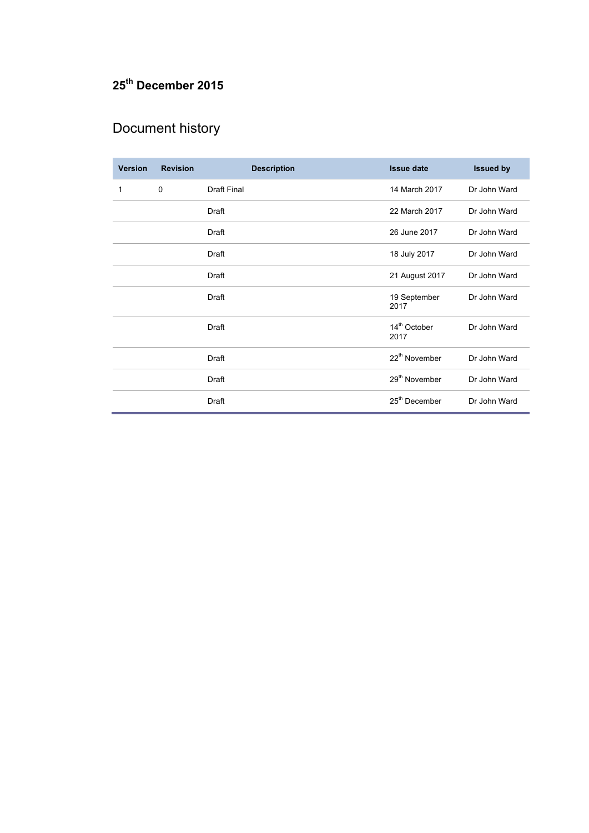# **25th December 2015**

## Document history

| <b>Version</b> | <b>Revision</b> | <b>Description</b> | <b>Issue date</b>                | <b>Issued by</b> |
|----------------|-----------------|--------------------|----------------------------------|------------------|
| 1              | $\Omega$        | <b>Draft Final</b> | 14 March 2017                    | Dr John Ward     |
|                |                 | Draft              | 22 March 2017                    | Dr John Ward     |
|                |                 | Draft              | 26 June 2017                     | Dr John Ward     |
|                |                 | Draft              | 18 July 2017                     | Dr John Ward     |
|                |                 | Draft              | 21 August 2017                   | Dr John Ward     |
|                |                 | Draft              | 19 September<br>2017             | Dr John Ward     |
|                |                 | Draft              | 14 <sup>th</sup> October<br>2017 | Dr John Ward     |
|                |                 | Draft              | 22 <sup>th</sup> November        | Dr John Ward     |
|                |                 | Draft              | 29 <sup>th</sup> November        | Dr John Ward     |
|                |                 | Draft              | 25 <sup>th</sup> December        | Dr John Ward     |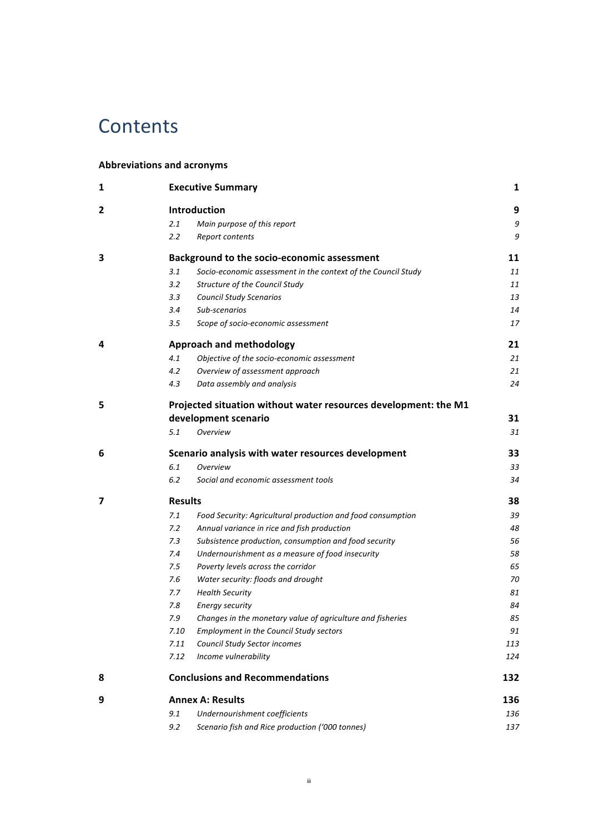## **Contents**

#### **Abbreviations and acronyms**

| 1            |                | <b>Executive Summary</b>                                        | 1   |
|--------------|----------------|-----------------------------------------------------------------|-----|
| $\mathbf{2}$ |                | Introduction                                                    | 9   |
|              | 2.1            | Main purpose of this report                                     | 9   |
|              | 2.2            | Report contents                                                 | 9   |
| 3            |                | Background to the socio-economic assessment                     | 11  |
|              | 3.1            | Socio-economic assessment in the context of the Council Study   | 11  |
|              | 3.2            | Structure of the Council Study                                  | 11  |
|              | 3.3            | <b>Council Study Scenarios</b>                                  | 13  |
|              | 3.4            | Sub-scenarios                                                   | 14  |
|              | 3.5            | Scope of socio-economic assessment                              | 17  |
| 4            |                | <b>Approach and methodology</b>                                 | 21  |
|              | 4.1            | Objective of the socio-economic assessment                      | 21  |
|              | 4.2            | Overview of assessment approach                                 | 21  |
|              | 4.3            | Data assembly and analysis                                      | 24  |
| 5            |                | Projected situation without water resources development: the M1 |     |
|              |                | development scenario                                            | 31  |
|              | 5.1            | <b>Overview</b>                                                 | 31  |
| 6            |                | Scenario analysis with water resources development              | 33  |
|              | 6.1            | <b>Overview</b>                                                 | 33  |
|              | 6.2            | Social and economic assessment tools                            | 34  |
| 7            | <b>Results</b> |                                                                 | 38  |
|              | 7.1            | Food Security: Agricultural production and food consumption     | 39  |
|              | 7.2            | Annual variance in rice and fish production                     | 48  |
|              | 7.3            | Subsistence production, consumption and food security           | 56  |
|              | 7.4            | Undernourishment as a measure of food insecurity                | 58  |
|              | 7.5            | Poverty levels across the corridor                              | 65  |
|              | 7.6            | Water security: floods and drought                              | 70  |
|              | 7.7            | <b>Health Security</b>                                          | 81  |
|              | 7.8            | Energy security                                                 | 84  |
|              | 7.9            | Changes in the monetary value of agriculture and fisheries      | 85  |
|              | 7.10           | Employment in the Council Study sectors                         | 91  |
|              | 7.11           | Council Study Sector incomes                                    | 113 |
|              | 7.12           | Income vulnerability                                            | 124 |
| 8            |                | <b>Conclusions and Recommendations</b>                          | 132 |
| 9            |                | <b>Annex A: Results</b>                                         | 136 |
|              | 9.1            | Undernourishment coefficients                                   | 136 |
|              | 9.2            | Scenario fish and Rice production ('000 tonnes)                 | 137 |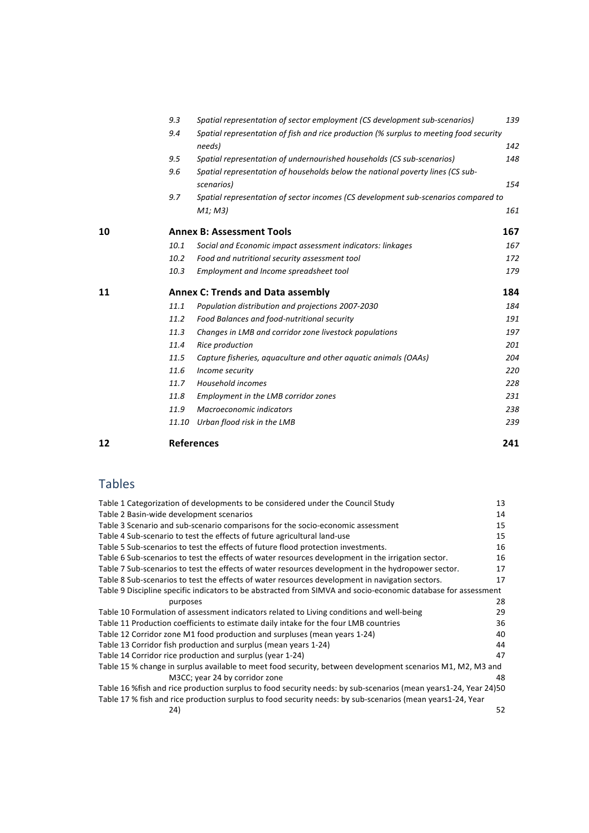|    | 9.3   | Spatial representation of sector employment (CS development sub-scenarios)             | 139 |
|----|-------|----------------------------------------------------------------------------------------|-----|
|    | 9.4   | Spatial representation of fish and rice production (% surplus to meeting food security |     |
|    |       | needs)                                                                                 | 142 |
|    | 9.5   | Spatial representation of undernourished households (CS sub-scenarios)                 | 148 |
|    | 9.6   | Spatial representation of households below the national poverty lines (CS sub-         |     |
|    |       | scenarios)                                                                             | 154 |
|    | 9.7   | Spatial representation of sector incomes (CS development sub-scenarios compared to     |     |
|    |       | M1; M3                                                                                 | 161 |
| 10 |       | <b>Annex B: Assessment Tools</b>                                                       | 167 |
|    | 10.1  | Social and Economic impact assessment indicators: linkages                             | 167 |
|    | 10.2  | Food and nutritional security assessment tool                                          | 172 |
|    | 10.3  | Employment and Income spreadsheet tool                                                 | 179 |
| 11 |       | <b>Annex C: Trends and Data assembly</b>                                               | 184 |
|    | 11.1  | Population distribution and projections 2007-2030                                      | 184 |
|    | 11.2  | Food Balances and food-nutritional security                                            | 191 |
|    | 11.3  | Changes in LMB and corridor zone livestock populations                                 | 197 |
|    | 11.4  | Rice production                                                                        | 201 |
|    | 11.5  | Capture fisheries, aquaculture and other aquatic animals (OAAs)                        | 204 |
|    | 11.6  | Income security                                                                        | 220 |
|    | 11.7  | Household incomes                                                                      | 228 |
|    | 11.8  | Employment in the LMB corridor zones                                                   | 231 |
|    | 11.9  | Macroeconomic indicators                                                               | 238 |
|    | 11.10 | Urban flood risk in the LMB                                                            | 239 |
| 12 |       |                                                                                        |     |

### Tables

| Table 1 Categorization of developments to be considered under the Council Study                                  | 13 |
|------------------------------------------------------------------------------------------------------------------|----|
| Table 2 Basin-wide development scenarios                                                                         | 14 |
| Table 3 Scenario and sub-scenario comparisons for the socio-economic assessment                                  | 15 |
| Table 4 Sub-scenario to test the effects of future agricultural land-use                                         | 15 |
| Table 5 Sub-scenarios to test the effects of future flood protection investments.                                | 16 |
| Table 6 Sub-scenarios to test the effects of water resources development in the irrigation sector.               | 16 |
| Table 7 Sub-scenarios to test the effects of water resources development in the hydropower sector.               | 17 |
| Table 8 Sub-scenarios to test the effects of water resources development in navigation sectors.                  | 17 |
| Table 9 Discipline specific indicators to be abstracted from SIMVA and socio-economic database for assessment    |    |
| purposes                                                                                                         | 28 |
| Table 10 Formulation of assessment indicators related to Living conditions and well-being                        | 29 |
| Table 11 Production coefficients to estimate daily intake for the four LMB countries                             | 36 |
| Table 12 Corridor zone M1 food production and surpluses (mean years 1-24)                                        | 40 |
| Table 13 Corridor fish production and surplus (mean years 1-24)                                                  | 44 |
| Table 14 Corridor rice production and surplus (year 1-24)                                                        | 47 |
| Table 15 % change in surplus available to meet food security, between development scenarios M1, M2, M3 and       |    |
| M3CC; year 24 by corridor zone                                                                                   | 48 |
| Table 16 % fish and rice production surplus to food security needs: by sub-scenarios (mean years1-24, Year 24)50 |    |
| Table 17 % fish and rice production surplus to food security needs: by sub-scenarios (mean years1-24, Year       |    |
| 24)                                                                                                              | 52 |
|                                                                                                                  |    |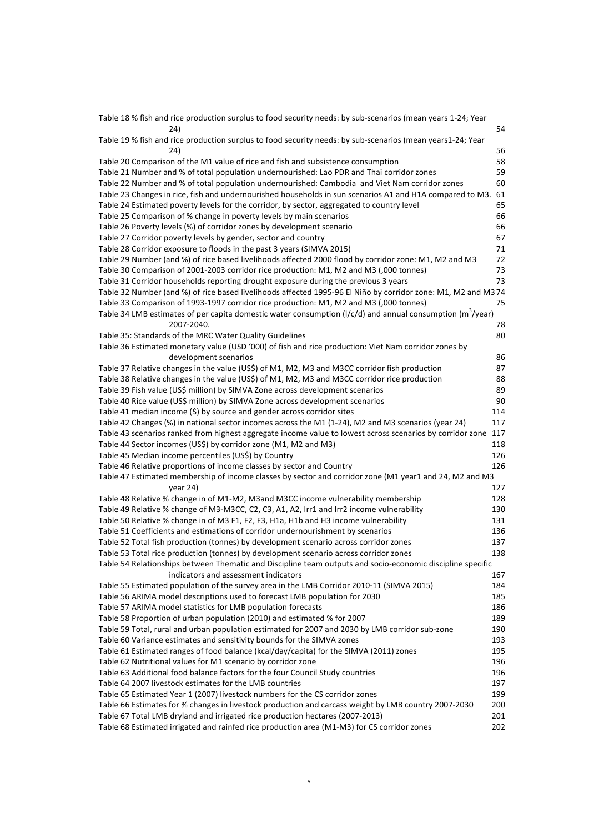| Table 18 % fish and rice production surplus to food security needs: by sub-scenarios (mean years 1-24; Year                                                                                         |     |
|-----------------------------------------------------------------------------------------------------------------------------------------------------------------------------------------------------|-----|
| 24)                                                                                                                                                                                                 | 54  |
| Table 19 % fish and rice production surplus to food security needs: by sub-scenarios (mean years1-24; Year<br>24)                                                                                   | 56  |
| Table 20 Comparison of the M1 value of rice and fish and subsistence consumption                                                                                                                    | 58  |
| Table 21 Number and % of total population undernourished: Lao PDR and Thai corridor zones                                                                                                           | 59  |
| Table 22 Number and % of total population undernourished: Cambodia and Viet Nam corridor zones                                                                                                      | 60  |
| Table 23 Changes in rice, fish and undernourished households in sun scenarios A1 and H1A compared to M3. 61                                                                                         |     |
| Table 24 Estimated poverty levels for the corridor, by sector, aggregated to country level                                                                                                          | 65  |
| Table 25 Comparison of % change in poverty levels by main scenarios                                                                                                                                 | 66  |
| Table 26 Poverty levels (%) of corridor zones by development scenario                                                                                                                               | 66  |
| Table 27 Corridor poverty levels by gender, sector and country                                                                                                                                      | 67  |
| Table 28 Corridor exposure to floods in the past 3 years (SIMVA 2015)                                                                                                                               | 71  |
| Table 29 Number (and %) of rice based livelihoods affected 2000 flood by corridor zone: M1, M2 and M3                                                                                               | 72  |
| Table 30 Comparison of 2001-2003 corridor rice production: M1, M2 and M3 (,000 tonnes)                                                                                                              | 73  |
| Table 31 Corridor households reporting drought exposure during the previous 3 years                                                                                                                 | 73  |
| Table 32 Number (and %) of rice based livelihoods affected 1995-96 El Niño by corridor zone: M1, M2 and M374                                                                                        |     |
| Table 33 Comparison of 1993-1997 corridor rice production: M1, M2 and M3 (,000 tonnes)                                                                                                              | 75  |
| Table 34 LMB estimates of per capita domestic water consumption (I/c/d) and annual consumption (m <sup>3</sup> /year)                                                                               |     |
| 2007-2040.                                                                                                                                                                                          | 78  |
| Table 35: Standards of the MRC Water Quality Guidelines                                                                                                                                             | 80  |
| Table 36 Estimated monetary value (USD '000) of fish and rice production: Viet Nam corridor zones by                                                                                                |     |
| development scenarios                                                                                                                                                                               | 86  |
| Table 37 Relative changes in the value (US\$) of M1, M2, M3 and M3CC corridor fish production                                                                                                       | 87  |
| Table 38 Relative changes in the value (US\$) of M1, M2, M3 and M3CC corridor rice production                                                                                                       | 88  |
| Table 39 Fish value (US\$ million) by SIMVA Zone across development scenarios                                                                                                                       | 89  |
| Table 40 Rice value (US\$ million) by SIMVA Zone across development scenarios                                                                                                                       | 90  |
| Table 41 median income (\$) by source and gender across corridor sites                                                                                                                              | 114 |
| Table 42 Changes (%) in national sector incomes across the M1 (1-24), M2 and M3 scenarios (year 24)                                                                                                 | 117 |
| Table 43 scenarios ranked from highest aggregate income value to lowest across scenarios by corridor zone                                                                                           | 117 |
| Table 44 Sector incomes (US\$) by corridor zone (M1, M2 and M3)                                                                                                                                     | 118 |
| Table 45 Median income percentiles (US\$) by Country                                                                                                                                                | 126 |
| Table 46 Relative proportions of income classes by sector and Country                                                                                                                               | 126 |
| Table 47 Estimated membership of income classes by sector and corridor zone (M1 year1 and 24, M2 and M3                                                                                             |     |
| year 24)                                                                                                                                                                                            | 127 |
| Table 48 Relative % change in of M1-M2, M3and M3CC income vulnerability membership                                                                                                                  | 128 |
| Table 49 Relative % change of M3-M3CC, C2, C3, A1, A2, Irr1 and Irr2 income vulnerability                                                                                                           | 130 |
| Table 50 Relative % change in of M3 F1, F2, F3, H1a, H1b and H3 income vulnerability                                                                                                                | 131 |
| Table 51 Coefficients and estimations of corridor undernourishment by scenarios                                                                                                                     | 136 |
| Table 52 Total fish production (tonnes) by development scenario across corridor zones                                                                                                               | 137 |
| Table 53 Total rice production (tonnes) by development scenario across corridor zones<br>Table 54 Relationships between Thematic and Discipline team outputs and socio-economic discipline specific | 138 |
| indicators and assessment indicators                                                                                                                                                                | 167 |
| Table 55 Estimated population of the survey area in the LMB Corridor 2010-11 (SIMVA 2015)                                                                                                           | 184 |
| Table 56 ARIMA model descriptions used to forecast LMB population for 2030                                                                                                                          | 185 |
| Table 57 ARIMA model statistics for LMB population forecasts                                                                                                                                        | 186 |
| Table 58 Proportion of urban population (2010) and estimated % for 2007                                                                                                                             | 189 |
| Table 59 Total, rural and urban population estimated for 2007 and 2030 by LMB corridor sub-zone                                                                                                     | 190 |
| Table 60 Variance estimates and sensitivity bounds for the SIMVA zones                                                                                                                              | 193 |
| Table 61 Estimated ranges of food balance (kcal/day/capita) for the SIMVA (2011) zones                                                                                                              | 195 |
| Table 62 Nutritional values for M1 scenario by corridor zone                                                                                                                                        | 196 |
| Table 63 Additional food balance factors for the four Council Study countries                                                                                                                       | 196 |
| Table 64 2007 livestock estimates for the LMB countries                                                                                                                                             | 197 |
| Table 65 Estimated Year 1 (2007) livestock numbers for the CS corridor zones                                                                                                                        | 199 |
| Table 66 Estimates for % changes in livestock production and carcass weight by LMB country 2007-2030                                                                                                | 200 |
| Table 67 Total LMB dryland and irrigated rice production hectares (2007-2013)                                                                                                                       | 201 |
| Table 68 Estimated irrigated and rainfed rice production area (M1-M3) for CS corridor zones                                                                                                         | 202 |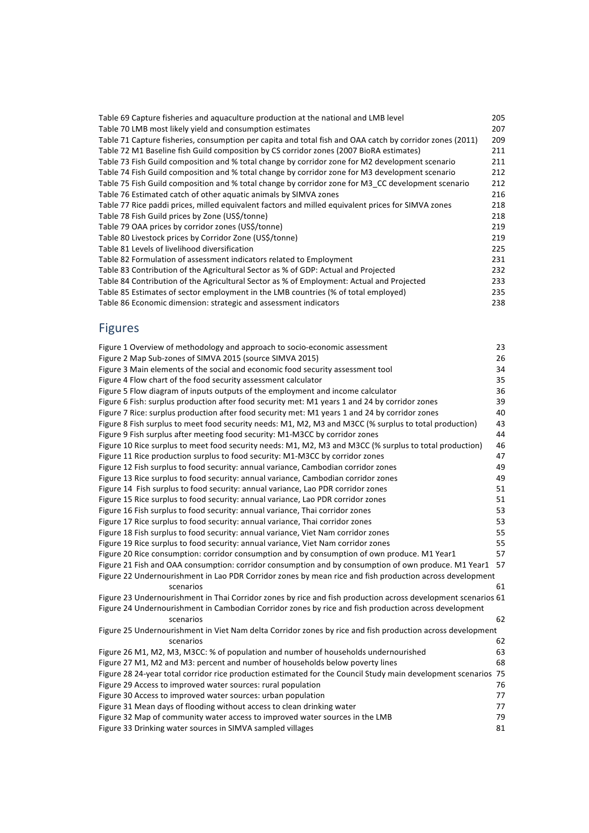| Table 69 Capture fisheries and aquaculture production at the national and LMB level                      | 205 |
|----------------------------------------------------------------------------------------------------------|-----|
| Table 70 LMB most likely yield and consumption estimates                                                 | 207 |
| Table 71 Capture fisheries, consumption per capita and total fish and OAA catch by corridor zones (2011) | 209 |
| Table 72 M1 Baseline fish Guild composition by CS corridor zones (2007 BioRA estimates)                  | 211 |
| Table 73 Fish Guild composition and % total change by corridor zone for M2 development scenario          | 211 |
| Table 74 Fish Guild composition and % total change by corridor zone for M3 development scenario          | 212 |
| Table 75 Fish Guild composition and % total change by corridor zone for M3 CC development scenario       | 212 |
| Table 76 Estimated catch of other aquatic animals by SIMVA zones                                         | 216 |
| Table 77 Rice paddi prices, milled equivalent factors and milled equivalent prices for SIMVA zones       | 218 |
| Table 78 Fish Guild prices by Zone (US\$/tonne)                                                          | 218 |
| Table 79 OAA prices by corridor zones (US\$/tonne)                                                       | 219 |
| Table 80 Livestock prices by Corridor Zone (US\$/tonne)                                                  | 219 |
| Table 81 Levels of livelihood diversification                                                            | 225 |
| Table 82 Formulation of assessment indicators related to Employment                                      | 231 |
| Table 83 Contribution of the Agricultural Sector as % of GDP: Actual and Projected                       | 232 |
| Table 84 Contribution of the Agricultural Sector as % of Employment: Actual and Projected                | 233 |
| Table 85 Estimates of sector employment in the LMB countries (% of total employed)                       | 235 |
| Table 86 Economic dimension: strategic and assessment indicators                                         | 238 |
|                                                                                                          |     |

## Figures

| Figure 1 Overview of methodology and approach to socio-economic assessment                                     | 23 |
|----------------------------------------------------------------------------------------------------------------|----|
| Figure 2 Map Sub-zones of SIMVA 2015 (source SIMVA 2015)                                                       | 26 |
| Figure 3 Main elements of the social and economic food security assessment tool                                | 34 |
| Figure 4 Flow chart of the food security assessment calculator                                                 | 35 |
| Figure 5 Flow diagram of inputs outputs of the employment and income calculator                                | 36 |
| Figure 6 Fish: surplus production after food security met: M1 years 1 and 24 by corridor zones                 | 39 |
| Figure 7 Rice: surplus production after food security met: M1 years 1 and 24 by corridor zones                 | 40 |
| Figure 8 Fish surplus to meet food security needs: M1, M2, M3 and M3CC (% surplus to total production)         | 43 |
| Figure 9 Fish surplus after meeting food security: M1-M3CC by corridor zones                                   | 44 |
| Figure 10 Rice surplus to meet food security needs: M1, M2, M3 and M3CC (% surplus to total production)        | 46 |
| Figure 11 Rice production surplus to food security: M1-M3CC by corridor zones                                  | 47 |
| Figure 12 Fish surplus to food security: annual variance, Cambodian corridor zones                             | 49 |
| Figure 13 Rice surplus to food security: annual variance, Cambodian corridor zones                             | 49 |
| Figure 14 Fish surplus to food security: annual variance, Lao PDR corridor zones                               | 51 |
| Figure 15 Rice surplus to food security: annual variance, Lao PDR corridor zones                               | 51 |
| Figure 16 Fish surplus to food security: annual variance, Thai corridor zones                                  | 53 |
| Figure 17 Rice surplus to food security: annual variance, Thai corridor zones                                  | 53 |
| Figure 18 Fish surplus to food security: annual variance, Viet Nam corridor zones                              | 55 |
| Figure 19 Rice surplus to food security: annual variance, Viet Nam corridor zones                              | 55 |
| Figure 20 Rice consumption: corridor consumption and by consumption of own produce. M1 Year1                   | 57 |
| Figure 21 Fish and OAA consumption: corridor consumption and by consumption of own produce. M1 Year1 57        |    |
| Figure 22 Undernourishment in Lao PDR Corridor zones by mean rice and fish production across development       |    |
| scenarios                                                                                                      | 61 |
| Figure 23 Undernourishment in Thai Corridor zones by rice and fish production across development scenarios 61  |    |
| Figure 24 Undernourishment in Cambodian Corridor zones by rice and fish production across development          |    |
| scenarios                                                                                                      | 62 |
| Figure 25 Undernourishment in Viet Nam delta Corridor zones by rice and fish production across development     |    |
| scenarios                                                                                                      | 62 |
| Figure 26 M1, M2, M3, M3CC: % of population and number of households undernourished                            | 63 |
| Figure 27 M1, M2 and M3: percent and number of households below poverty lines                                  | 68 |
| Figure 28 24-year total corridor rice production estimated for the Council Study main development scenarios 75 |    |
| Figure 29 Access to improved water sources: rural population                                                   | 76 |
| Figure 30 Access to improved water sources: urban population                                                   | 77 |
| Figure 31 Mean days of flooding without access to clean drinking water                                         | 77 |
| Figure 32 Map of community water access to improved water sources in the LMB                                   | 79 |
| Figure 33 Drinking water sources in SIMVA sampled villages                                                     | 81 |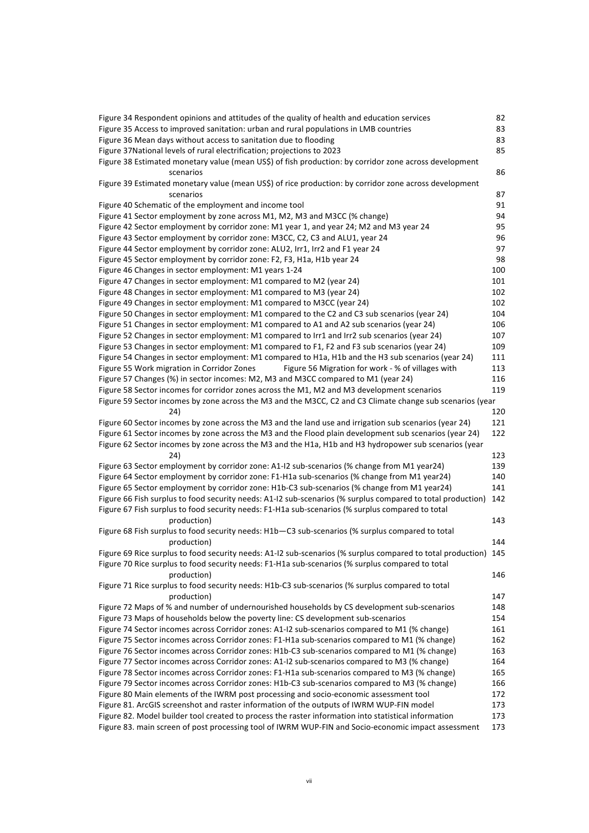| Figure 34 Respondent opinions and attitudes of the quality of health and education services                                                                                                           | 82         |
|-------------------------------------------------------------------------------------------------------------------------------------------------------------------------------------------------------|------------|
| Figure 35 Access to improved sanitation: urban and rural populations in LMB countries                                                                                                                 | 83         |
| Figure 36 Mean days without access to sanitation due to flooding                                                                                                                                      | 83         |
| Figure 37National levels of rural electrification; projections to 2023                                                                                                                                | 85         |
| Figure 38 Estimated monetary value (mean US\$) of fish production: by corridor zone across development                                                                                                |            |
| scenarios                                                                                                                                                                                             | 86         |
| Figure 39 Estimated monetary value (mean US\$) of rice production: by corridor zone across development                                                                                                |            |
| scenarios                                                                                                                                                                                             | 87         |
| Figure 40 Schematic of the employment and income tool                                                                                                                                                 | 91         |
| Figure 41 Sector employment by zone across M1, M2, M3 and M3CC (% change)                                                                                                                             | 94         |
| Figure 42 Sector employment by corridor zone: M1 year 1, and year 24; M2 and M3 year 24                                                                                                               | 95         |
| Figure 43 Sector employment by corridor zone: M3CC, C2, C3 and ALU1, year 24                                                                                                                          | 96         |
| Figure 44 Sector employment by corridor zone: ALU2, Irr1, Irr2 and F1 year 24                                                                                                                         | 97         |
| Figure 45 Sector employment by corridor zone: F2, F3, H1a, H1b year 24                                                                                                                                | 98         |
| Figure 46 Changes in sector employment: M1 years 1-24                                                                                                                                                 | 100        |
| Figure 47 Changes in sector employment: M1 compared to M2 (year 24)                                                                                                                                   | 101        |
| Figure 48 Changes in sector employment: M1 compared to M3 (year 24)                                                                                                                                   | 102        |
| Figure 49 Changes in sector employment: M1 compared to M3CC (year 24)                                                                                                                                 | 102        |
| Figure 50 Changes in sector employment: M1 compared to the C2 and C3 sub scenarios (year 24)                                                                                                          | 104        |
| Figure 51 Changes in sector employment: M1 compared to A1 and A2 sub scenarios (year 24)                                                                                                              | 106        |
| Figure 52 Changes in sector employment: M1 compared to Irr1 and Irr2 sub scenarios (year 24)                                                                                                          | 107<br>109 |
| Figure 53 Changes in sector employment: M1 compared to F1, F2 and F3 sub scenarios (year 24)                                                                                                          |            |
| Figure 54 Changes in sector employment: M1 compared to H1a, H1b and the H3 sub scenarios (year 24)<br>Figure 55 Work migration in Corridor Zones<br>Figure 56 Migration for work - % of villages with | 111<br>113 |
| Figure 57 Changes (%) in sector incomes: M2, M3 and M3CC compared to M1 (year 24)                                                                                                                     | 116        |
| Figure 58 Sector incomes for corridor zones across the M1, M2 and M3 development scenarios                                                                                                            | 119        |
| Figure 59 Sector incomes by zone across the M3 and the M3CC, C2 and C3 Climate change sub scenarios (year                                                                                             |            |
| 24)                                                                                                                                                                                                   | 120        |
| Figure 60 Sector incomes by zone across the M3 and the land use and irrigation sub scenarios (year 24)                                                                                                | 121        |
| Figure 61 Sector incomes by zone across the M3 and the Flood plain development sub scenarios (year 24)                                                                                                | 122        |
| Figure 62 Sector incomes by zone across the M3 and the H1a, H1b and H3 hydropower sub scenarios (year                                                                                                 |            |
| 24)                                                                                                                                                                                                   | 123        |
| Figure 63 Sector employment by corridor zone: A1-I2 sub-scenarios (% change from M1 year24)                                                                                                           | 139        |
| Figure 64 Sector employment by corridor zone: F1-H1a sub-scenarios (% change from M1 year24)                                                                                                          | 140        |
| Figure 65 Sector employment by corridor zone: H1b-C3 sub-scenarios (% change from M1 year24)                                                                                                          | 141        |
| Figure 66 Fish surplus to food security needs: A1-I2 sub-scenarios (% surplus compared to total production)                                                                                           | 142        |
| Figure 67 Fish surplus to food security needs: F1-H1a sub-scenarios (% surplus compared to total                                                                                                      |            |
| production)                                                                                                                                                                                           | 143        |
| Figure 68 Fish surplus to food security needs: H1b-C3 sub-scenarios (% surplus compared to total                                                                                                      |            |
| production)                                                                                                                                                                                           | 144        |
| Figure 69 Rice surplus to food security needs: A1-12 sub-scenarios (% surplus compared to total production) 145                                                                                       |            |
| Figure 70 Rice surplus to food security needs: F1-H1a sub-scenarios (% surplus compared to total                                                                                                      |            |
| production)                                                                                                                                                                                           | 146        |
| Figure 71 Rice surplus to food security needs: H1b-C3 sub-scenarios (% surplus compared to total                                                                                                      |            |
| production)                                                                                                                                                                                           | 147        |
| Figure 72 Maps of % and number of undernourished households by CS development sub-scenarios                                                                                                           | 148        |
| Figure 73 Maps of households below the poverty line: CS development sub-scenarios                                                                                                                     | 154        |
| Figure 74 Sector incomes across Corridor zones: A1-I2 sub-scenarios compared to M1 (% change)                                                                                                         | 161        |
| Figure 75 Sector incomes across Corridor zones: F1-H1a sub-scenarios compared to M1 (% change)                                                                                                        | 162        |
| Figure 76 Sector incomes across Corridor zones: H1b-C3 sub-scenarios compared to M1 (% change)                                                                                                        | 163        |
| Figure 77 Sector incomes across Corridor zones: A1-I2 sub-scenarios compared to M3 (% change)                                                                                                         | 164<br>165 |
| Figure 78 Sector incomes across Corridor zones: F1-H1a sub-scenarios compared to M3 (% change)<br>Figure 79 Sector incomes across Corridor zones: H1b-C3 sub-scenarios compared to M3 (% change)      | 166        |
| Figure 80 Main elements of the IWRM post processing and socio-economic assessment tool                                                                                                                | 172        |
| Figure 81. ArcGIS screenshot and raster information of the outputs of IWRM WUP-FIN model                                                                                                              | 173        |
| Figure 82. Model builder tool created to process the raster information into statistical information                                                                                                  | 173        |
| Figure 83. main screen of post processing tool of IWRM WUP-FIN and Socio-economic impact assessment                                                                                                   | 173        |
|                                                                                                                                                                                                       |            |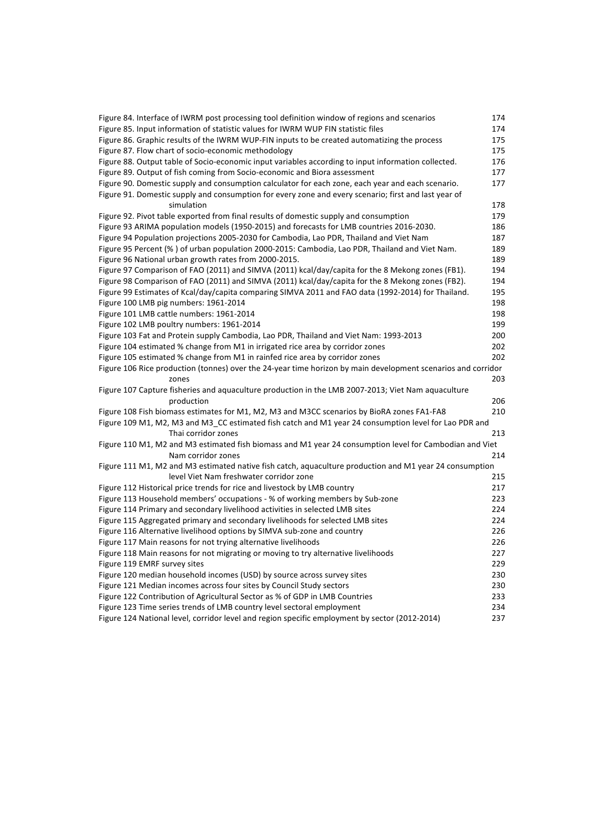| Figure 84. Interface of IWRM post processing tool definition window of regions and scenarios                 | 174 |
|--------------------------------------------------------------------------------------------------------------|-----|
| Figure 85. Input information of statistic values for IWRM WUP FIN statistic files                            | 174 |
| Figure 86. Graphic results of the IWRM WUP-FIN inputs to be created automatizing the process                 | 175 |
| Figure 87. Flow chart of socio-economic methodology                                                          | 175 |
| Figure 88. Output table of Socio-economic input variables according to input information collected.          | 176 |
| Figure 89. Output of fish coming from Socio-economic and Biora assessment                                    | 177 |
| Figure 90. Domestic supply and consumption calculator for each zone, each year and each scenario.            | 177 |
| Figure 91. Domestic supply and consumption for every zone and every scenario; first and last year of         |     |
| simulation                                                                                                   | 178 |
| Figure 92. Pivot table exported from final results of domestic supply and consumption                        | 179 |
| Figure 93 ARIMA population models (1950-2015) and forecasts for LMB countries 2016-2030.                     | 186 |
| Figure 94 Population projections 2005-2030 for Cambodia, Lao PDR, Thailand and Viet Nam                      | 187 |
| Figure 95 Percent (%) of urban population 2000-2015: Cambodia, Lao PDR, Thailand and Viet Nam.               | 189 |
| Figure 96 National urban growth rates from 2000-2015.                                                        | 189 |
| Figure 97 Comparison of FAO (2011) and SIMVA (2011) kcal/day/capita for the 8 Mekong zones (FB1).            | 194 |
| Figure 98 Comparison of FAO (2011) and SIMVA (2011) kcal/day/capita for the 8 Mekong zones (FB2).            | 194 |
| Figure 99 Estimates of Kcal/day/capita comparing SIMVA 2011 and FAO data (1992-2014) for Thailand.           | 195 |
| Figure 100 LMB pig numbers: 1961-2014                                                                        | 198 |
| Figure 101 LMB cattle numbers: 1961-2014                                                                     | 198 |
| Figure 102 LMB poultry numbers: 1961-2014                                                                    | 199 |
| Figure 103 Fat and Protein supply Cambodia, Lao PDR, Thailand and Viet Nam: 1993-2013                        | 200 |
| Figure 104 estimated % change from M1 in irrigated rice area by corridor zones                               | 202 |
| Figure 105 estimated % change from M1 in rainfed rice area by corridor zones                                 | 202 |
| Figure 106 Rice production (tonnes) over the 24-year time horizon by main development scenarios and corridor |     |
| zones                                                                                                        | 203 |
| Figure 107 Capture fisheries and aquaculture production in the LMB 2007-2013; Viet Nam aquaculture           |     |
| production                                                                                                   | 206 |
| Figure 108 Fish biomass estimates for M1, M2, M3 and M3CC scenarios by BioRA zones FA1-FA8                   | 210 |
| Figure 109 M1, M2, M3 and M3_CC estimated fish catch and M1 year 24 consumption level for Lao PDR and        |     |
| Thai corridor zones                                                                                          | 213 |
| Figure 110 M1, M2 and M3 estimated fish biomass and M1 year 24 consumption level for Cambodian and Viet      |     |
| Nam corridor zones                                                                                           | 214 |
| Figure 111 M1, M2 and M3 estimated native fish catch, aquaculture production and M1 year 24 consumption      |     |
| level Viet Nam freshwater corridor zone                                                                      | 215 |
| Figure 112 Historical price trends for rice and livestock by LMB country                                     | 217 |
| Figure 113 Household members' occupations - % of working members by Sub-zone                                 | 223 |
| Figure 114 Primary and secondary livelihood activities in selected LMB sites                                 | 224 |
| Figure 115 Aggregated primary and secondary livelihoods for selected LMB sites                               | 224 |
| Figure 116 Alternative livelihood options by SIMVA sub-zone and country                                      | 226 |
| Figure 117 Main reasons for not trying alternative livelihoods                                               | 226 |
| Figure 118 Main reasons for not migrating or moving to try alternative livelihoods                           | 227 |
| Figure 119 EMRF survey sites                                                                                 | 229 |
| Figure 120 median household incomes (USD) by source across survey sites                                      | 230 |
| Figure 121 Median incomes across four sites by Council Study sectors                                         | 230 |
| Figure 122 Contribution of Agricultural Sector as % of GDP in LMB Countries                                  | 233 |
| Figure 123 Time series trends of LMB country level sectoral employment                                       | 234 |
| Figure 124 National level, corridor level and region specific employment by sector (2012-2014)               | 237 |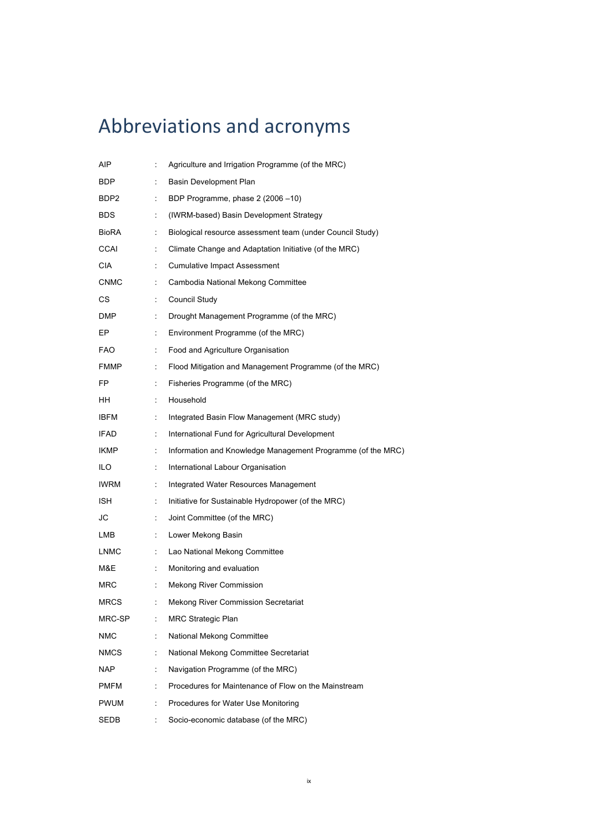# Abbreviations and acronyms

| AIP         | ÷  | Agriculture and Irrigation Programme (of the MRC)           |
|-------------|----|-------------------------------------------------------------|
| BDP.        | ÷  | Basin Development Plan                                      |
| BDP2        | ÷  | BDP Programme, phase 2 (2006-10)                            |
| BDS.        | ÷  | (IWRM-based) Basin Development Strategy                     |
| BioRA       | ÷  | Biological resource assessment team (under Council Study)   |
| CCAI        | ÷  | Climate Change and Adaptation Initiative (of the MRC)       |
| CIA         | ÷  | <b>Cumulative Impact Assessment</b>                         |
| <b>CNMC</b> | ÷  | Cambodia National Mekong Committee                          |
| CS          | ÷  | Council Study                                               |
| DMP         | ÷  | Drought Management Programme (of the MRC)                   |
| EP          | ÷  | Environment Programme (of the MRC)                          |
| FAO         | ÷  | Food and Agriculture Organisation                           |
| <b>FMMP</b> | ÷  | Flood Mitigation and Management Programme (of the MRC)      |
| FP.         | ÷  | Fisheries Programme (of the MRC)                            |
| HH          | ÷  | Household                                                   |
| IBFM        | ÷  | Integrated Basin Flow Management (MRC study)                |
| <b>IFAD</b> | ÷  | International Fund for Agricultural Development             |
| IKMP        | ÷  | Information and Knowledge Management Programme (of the MRC) |
| ILO.        | ÷  | International Labour Organisation                           |
| IWRM        | ÷  | Integrated Water Resources Management                       |
| ISH         | ÷  | Initiative for Sustainable Hydropower (of the MRC)          |
| JC          | ÷  | Joint Committee (of the MRC)                                |
| LMB         | ÷  | Lower Mekong Basin                                          |
| LNMC        | ÷  | Lao National Mekong Committee                               |
| M&E         | ÷  | Monitoring and evaluation                                   |
| MRC         | ÷  | <b>Mekong River Commission</b>                              |
| <b>MRCS</b> |    | Mekong River Commission Secretariat                         |
| MRC-SP      | ÷  | <b>MRC Strategic Plan</b>                                   |
| <b>NMC</b>  | ÷  | National Mekong Committee                                   |
| NMCS        | ÷  | National Mekong Committee Secretariat                       |
| <b>NAP</b>  | ÷  | Navigation Programme (of the MRC)                           |
| PMFM        | ÷  | Procedures for Maintenance of Flow on the Mainstream        |
| <b>PWUM</b> | ÷  | Procedures for Water Use Monitoring                         |
| SEDB        | ÷. | Socio-economic database (of the MRC)                        |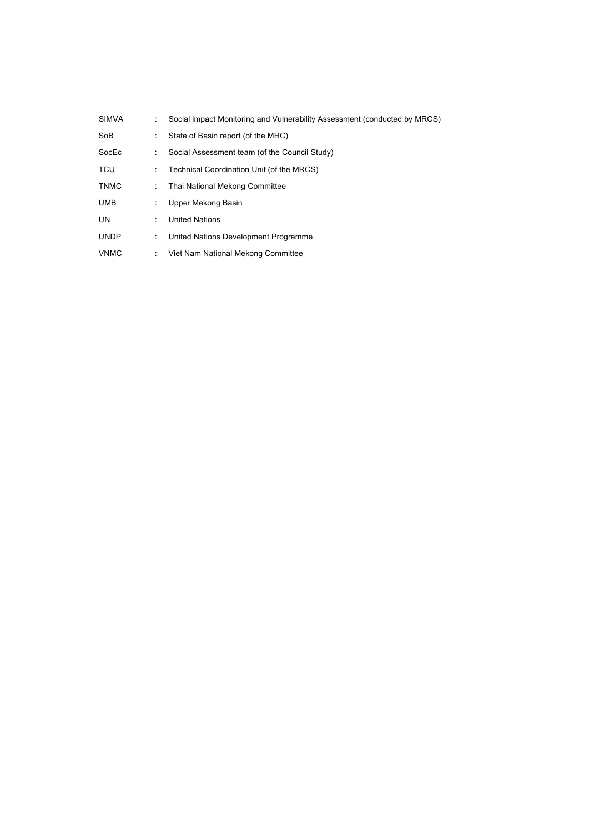| <b>SIMVA</b>    |    | Social impact Monitoring and Vulnerability Assessment (conducted by MRCS) |
|-----------------|----|---------------------------------------------------------------------------|
| So <sub>B</sub> |    | State of Basin report (of the MRC)                                        |
| SocEc           |    | Social Assessment team (of the Council Study)                             |
| <b>TCU</b>      | ÷. | Technical Coordination Unit (of the MRCS)                                 |
| <b>TNMC</b>     |    | Thai National Mekong Committee                                            |
| <b>UMB</b>      |    | Upper Mekong Basin                                                        |
| <b>UN</b>       |    | <b>United Nations</b>                                                     |
| <b>UNDP</b>     |    | United Nations Development Programme                                      |
| <b>VNMC</b>     | ÷  | Viet Nam National Mekong Committee                                        |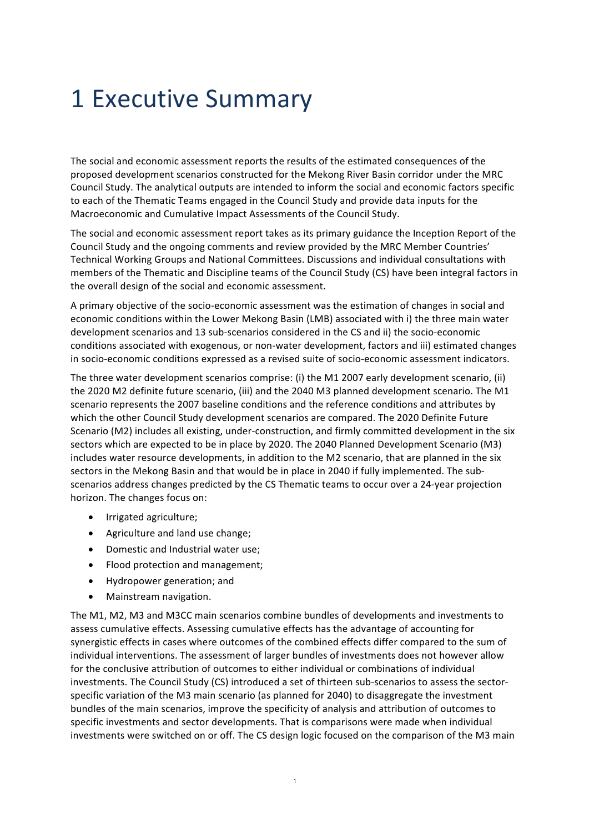# 1 Executive Summary

The social and economic assessment reports the results of the estimated consequences of the proposed development scenarios constructed for the Mekong River Basin corridor under the MRC Council Study. The analytical outputs are intended to inform the social and economic factors specific to each of the Thematic Teams engaged in the Council Study and provide data inputs for the Macroeconomic and Cumulative Impact Assessments of the Council Study.

The social and economic assessment report takes as its primary guidance the Inception Report of the Council Study and the ongoing comments and review provided by the MRC Member Countries' Technical Working Groups and National Committees. Discussions and individual consultations with members of the Thematic and Discipline teams of the Council Study (CS) have been integral factors in the overall design of the social and economic assessment.

A primary objective of the socio-economic assessment was the estimation of changes in social and economic conditions within the Lower Mekong Basin (LMB) associated with i) the three main water development scenarios and 13 sub-scenarios considered in the CS and ii) the socio-economic conditions associated with exogenous, or non-water development, factors and iii) estimated changes in socio-economic conditions expressed as a revised suite of socio-economic assessment indicators.

The three water development scenarios comprise: (i) the M1 2007 early development scenario, (ii) the 2020 M2 definite future scenario, (iii) and the 2040 M3 planned development scenario. The M1 scenario represents the 2007 baseline conditions and the reference conditions and attributes by which the other Council Study development scenarios are compared. The 2020 Definite Future Scenario (M2) includes all existing, under-construction, and firmly committed development in the six sectors which are expected to be in place by 2020. The 2040 Planned Development Scenario (M3) includes water resource developments, in addition to the M2 scenario, that are planned in the six sectors in the Mekong Basin and that would be in place in 2040 if fully implemented. The subscenarios address changes predicted by the CS Thematic teams to occur over a 24-year projection horizon. The changes focus on:

- Irrigated agriculture;
- Agriculture and land use change;
- Domestic and Industrial water use;
- Flood protection and management;
- Hydropower generation; and
- Mainstream navigation.

The M1, M2, M3 and M3CC main scenarios combine bundles of developments and investments to assess cumulative effects. Assessing cumulative effects has the advantage of accounting for synergistic effects in cases where outcomes of the combined effects differ compared to the sum of individual interventions. The assessment of larger bundles of investments does not however allow for the conclusive attribution of outcomes to either individual or combinations of individual investments. The Council Study (CS) introduced a set of thirteen sub-scenarios to assess the sectorspecific variation of the M3 main scenario (as planned for 2040) to disaggregate the investment bundles of the main scenarios, improve the specificity of analysis and attribution of outcomes to specific investments and sector developments. That is comparisons were made when individual investments were switched on or off. The CS design logic focused on the comparison of the M3 main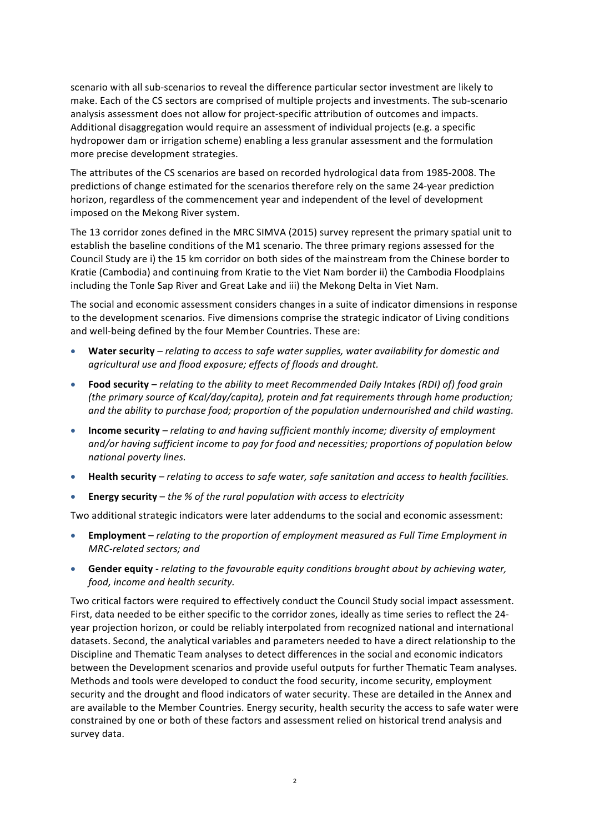scenario with all sub-scenarios to reveal the difference particular sector investment are likely to make. Each of the CS sectors are comprised of multiple projects and investments. The sub-scenario analysis assessment does not allow for project-specific attribution of outcomes and impacts. Additional disaggregation would require an assessment of individual projects (e.g. a specific hydropower dam or irrigation scheme) enabling a less granular assessment and the formulation more precise development strategies.

The attributes of the CS scenarios are based on recorded hydrological data from 1985-2008. The predictions of change estimated for the scenarios therefore rely on the same 24-year prediction horizon, regardless of the commencement year and independent of the level of development imposed on the Mekong River system.

The 13 corridor zones defined in the MRC SIMVA (2015) survey represent the primary spatial unit to establish the baseline conditions of the M1 scenario. The three primary regions assessed for the Council Study are i) the 15 km corridor on both sides of the mainstream from the Chinese border to Kratie (Cambodia) and continuing from Kratie to the Viet Nam border ii) the Cambodia Floodplains including the Tonle Sap River and Great Lake and iii) the Mekong Delta in Viet Nam.

The social and economic assessment considers changes in a suite of indicator dimensions in response to the development scenarios. Five dimensions comprise the strategic indicator of Living conditions and well-being defined by the four Member Countries. These are:

- Water security *relating to access to safe water supplies, water availability for domestic and agricultural use and flood exposure; effects of floods and drought.*
- **Food security** *relating to the ability to meet Recommended Daily Intakes (RDI) of) food grain (the primary source of Kcal/day/capita), protein and fat requirements through home production;* and the ability to purchase food; proportion of the population undernourished and child wasting.
- **Income security** *relating to and having sufficient monthly income; diversity of employment* and/or having sufficient income to pay for food and necessities; proportions of population below *national poverty lines.*
- **Health security** *relating to access to safe water, safe sanitation and access to health facilities.*
- **Energy security** *the* % of *the rural population with access to electricity*

Two additional strategic indicators were later addendums to the social and economic assessment:

- **Employment** *relating to the proportion of employment measured as Full Time Employment in MRC-related sectors; and*
- Gender equity *relating to the favourable equity conditions brought about by achieving water, food, income and health security.*

Two critical factors were required to effectively conduct the Council Study social impact assessment. First, data needed to be either specific to the corridor zones, ideally as time series to reflect the 24year projection horizon, or could be reliably interpolated from recognized national and international datasets. Second, the analytical variables and parameters needed to have a direct relationship to the Discipline and Thematic Team analyses to detect differences in the social and economic indicators between the Development scenarios and provide useful outputs for further Thematic Team analyses. Methods and tools were developed to conduct the food security, income security, employment security and the drought and flood indicators of water security. These are detailed in the Annex and are available to the Member Countries. Energy security, health security the access to safe water were constrained by one or both of these factors and assessment relied on historical trend analysis and survey data.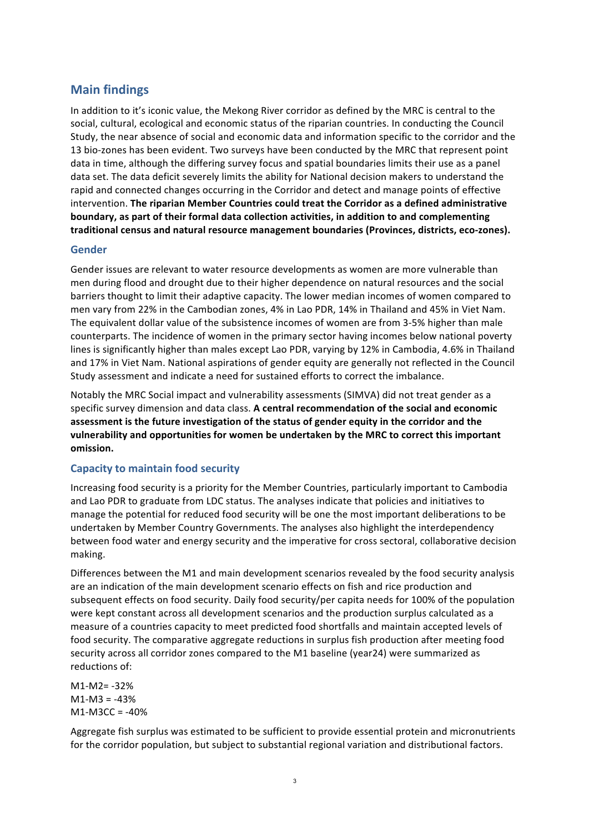### **Main findings**

In addition to it's iconic value, the Mekong River corridor as defined by the MRC is central to the social, cultural, ecological and economic status of the riparian countries. In conducting the Council Study, the near absence of social and economic data and information specific to the corridor and the 13 bio-zones has been evident. Two surveys have been conducted by the MRC that represent point data in time, although the differing survey focus and spatial boundaries limits their use as a panel data set. The data deficit severely limits the ability for National decision makers to understand the rapid and connected changes occurring in the Corridor and detect and manage points of effective intervention. The riparian Member Countries could treat the Corridor as a defined administrative **boundary, as part of their formal data collection activities, in addition to and complementing** traditional census and natural resource management boundaries (Provinces, districts, eco-zones).

#### **Gender**

Gender issues are relevant to water resource developments as women are more vulnerable than men during flood and drought due to their higher dependence on natural resources and the social barriers thought to limit their adaptive capacity. The lower median incomes of women compared to men vary from 22% in the Cambodian zones, 4% in Lao PDR, 14% in Thailand and 45% in Viet Nam. The equivalent dollar value of the subsistence incomes of women are from 3-5% higher than male counterparts. The incidence of women in the primary sector having incomes below national poverty lines is significantly higher than males except Lao PDR, varying by 12% in Cambodia, 4.6% in Thailand and 17% in Viet Nam. National aspirations of gender equity are generally not reflected in the Council Study assessment and indicate a need for sustained efforts to correct the imbalance.

Notably the MRC Social impact and vulnerability assessments (SIMVA) did not treat gender as a specific survey dimension and data class. A central recommendation of the social and economic assessment is the future investigation of the status of gender equity in the corridor and the vulnerability and opportunities for women be undertaken by the MRC to correct this important **omission.**

#### **Capacity to maintain food security**

Increasing food security is a priority for the Member Countries, particularly important to Cambodia and Lao PDR to graduate from LDC status. The analyses indicate that policies and initiatives to manage the potential for reduced food security will be one the most important deliberations to be undertaken by Member Country Governments. The analyses also highlight the interdependency between food water and energy security and the imperative for cross sectoral, collaborative decision making. 

Differences between the M1 and main development scenarios revealed by the food security analysis are an indication of the main development scenario effects on fish and rice production and subsequent effects on food security. Daily food security/per capita needs for 100% of the population were kept constant across all development scenarios and the production surplus calculated as a measure of a countries capacity to meet predicted food shortfalls and maintain accepted levels of food security. The comparative aggregate reductions in surplus fish production after meeting food security across all corridor zones compared to the M1 baseline (year24) were summarized as reductions of:

 $M1-M2 = -32%$  $M1-M3 = -43%$  $M1-M3CC = -40%$ 

Aggregate fish surplus was estimated to be sufficient to provide essential protein and micronutrients for the corridor population, but subject to substantial regional variation and distributional factors.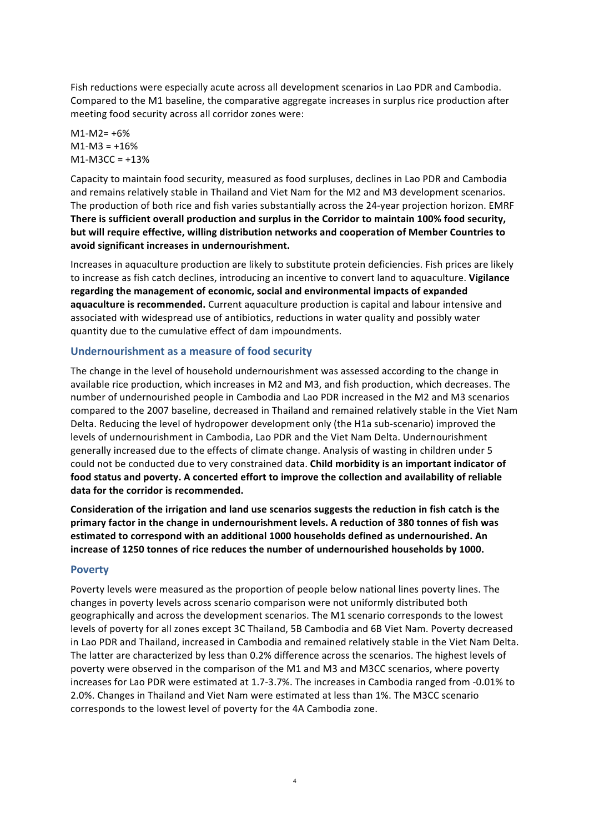Fish reductions were especially acute across all development scenarios in Lao PDR and Cambodia. Compared to the M1 baseline, the comparative aggregate increases in surplus rice production after meeting food security across all corridor zones were:

 $M1-M2=+6%$  $M1-M3 = +16%$  $M1-M3CC = +13%$ 

Capacity to maintain food security, measured as food surpluses, declines in Lao PDR and Cambodia and remains relatively stable in Thailand and Viet Nam for the M2 and M3 development scenarios. The production of both rice and fish varies substantially across the 24-year projection horizon. EMRF There is sufficient overall production and surplus in the Corridor to maintain 100% food security, but will require effective, willing distribution networks and cooperation of Member Countries to avoid significant increases in undernourishment.

Increases in aquaculture production are likely to substitute protein deficiencies. Fish prices are likely to increase as fish catch declines, introducing an incentive to convert land to aquaculture. Vigilance regarding the management of economic, social and environmental impacts of expanded **aquaculture is recommended.** Current aquaculture production is capital and labour intensive and associated with widespread use of antibiotics, reductions in water quality and possibly water quantity due to the cumulative effect of dam impoundments.

#### **Undernourishment as a measure of food security**

The change in the level of household undernourishment was assessed according to the change in available rice production, which increases in M2 and M3, and fish production, which decreases. The number of undernourished people in Cambodia and Lao PDR increased in the M2 and M3 scenarios compared to the 2007 baseline, decreased in Thailand and remained relatively stable in the Viet Nam Delta. Reducing the level of hydropower development only (the H1a sub-scenario) improved the levels of undernourishment in Cambodia, Lao PDR and the Viet Nam Delta. Undernourishment generally increased due to the effects of climate change. Analysis of wasting in children under 5 could not be conducted due to very constrained data. Child morbidity is an important indicator of food status and poverty. A concerted effort to improve the collection and availability of reliable data for the corridor is recommended.

Consideration of the irrigation and land use scenarios suggests the reduction in fish catch is the primary factor in the change in undernourishment levels. A reduction of 380 tonnes of fish was estimated to correspond with an additional 1000 households defined as undernourished. An increase of 1250 tonnes of rice reduces the number of undernourished households by 1000.

#### **Poverty**

Poverty levels were measured as the proportion of people below national lines poverty lines. The changes in poverty levels across scenario comparison were not uniformly distributed both geographically and across the development scenarios. The M1 scenario corresponds to the lowest levels of poverty for all zones except 3C Thailand, 5B Cambodia and 6B Viet Nam. Poverty decreased in Lao PDR and Thailand, increased in Cambodia and remained relatively stable in the Viet Nam Delta. The latter are characterized by less than 0.2% difference across the scenarios. The highest levels of poverty were observed in the comparison of the M1 and M3 and M3CC scenarios, where poverty increases for Lao PDR were estimated at 1.7-3.7%. The increases in Cambodia ranged from -0.01% to 2.0%. Changes in Thailand and Viet Nam were estimated at less than 1%. The M3CC scenario corresponds to the lowest level of poverty for the 4A Cambodia zone.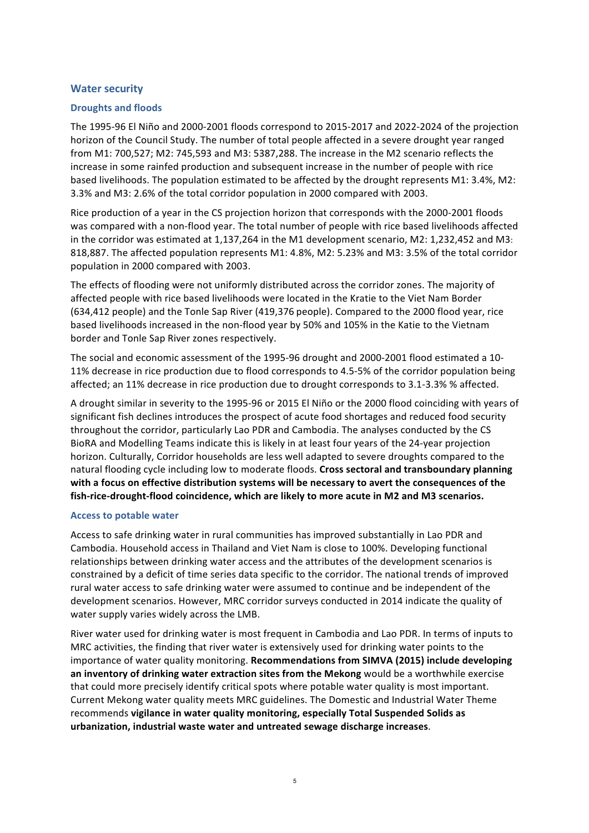#### **Water security**

#### **Droughts and floods**

The 1995-96 El Niño and 2000-2001 floods correspond to 2015-2017 and 2022-2024 of the projection horizon of the Council Study. The number of total people affected in a severe drought year ranged from M1: 700,527; M2: 745,593 and M3: 5387,288. The increase in the M2 scenario reflects the increase in some rainfed production and subsequent increase in the number of people with rice based livelihoods. The population estimated to be affected by the drought represents M1: 3.4%, M2: 3.3% and M3: 2.6% of the total corridor population in 2000 compared with 2003.

Rice production of a year in the CS projection horizon that corresponds with the 2000-2001 floods was compared with a non-flood year. The total number of people with rice based livelihoods affected in the corridor was estimated at 1,137,264 in the M1 development scenario, M2: 1,232,452 and M3: 818,887. The affected population represents M1: 4.8%, M2: 5.23% and M3: 3.5% of the total corridor population in 2000 compared with 2003.

The effects of flooding were not uniformly distributed across the corridor zones. The majority of affected people with rice based livelihoods were located in the Kratie to the Viet Nam Border (634,412 people) and the Tonle Sap River (419,376 people). Compared to the 2000 flood year, rice based livelihoods increased in the non-flood year by 50% and 105% in the Katie to the Vietnam border and Tonle Sap River zones respectively.

The social and economic assessment of the 1995-96 drought and 2000-2001 flood estimated a 10-11% decrease in rice production due to flood corresponds to 4.5-5% of the corridor population being affected; an 11% decrease in rice production due to drought corresponds to 3.1-3.3% % affected.

A drought similar in severity to the 1995-96 or 2015 El Niño or the 2000 flood coinciding with years of significant fish declines introduces the prospect of acute food shortages and reduced food security throughout the corridor, particularly Lao PDR and Cambodia. The analyses conducted by the CS BioRA and Modelling Teams indicate this is likely in at least four years of the 24-year projection horizon. Culturally, Corridor households are less well adapted to severe droughts compared to the natural flooding cycle including low to moderate floods. Cross sectoral and transboundary planning with a focus on effective distribution systems will be necessary to avert the consequences of the fish-rice-drought-flood coincidence, which are likely to more acute in M2 and M3 scenarios.

#### **Access to potable water**

Access to safe drinking water in rural communities has improved substantially in Lao PDR and Cambodia. Household access in Thailand and Viet Nam is close to 100%. Developing functional relationships between drinking water access and the attributes of the development scenarios is constrained by a deficit of time series data specific to the corridor. The national trends of improved rural water access to safe drinking water were assumed to continue and be independent of the development scenarios. However, MRC corridor surveys conducted in 2014 indicate the quality of water supply varies widely across the LMB.

River water used for drinking water is most frequent in Cambodia and Lao PDR. In terms of inputs to MRC activities, the finding that river water is extensively used for drinking water points to the importance of water quality monitoring. **Recommendations from SIMVA (2015) include developing** an inventory of drinking water extraction sites from the Mekong would be a worthwhile exercise that could more precisely identify critical spots where potable water quality is most important. Current Mekong water quality meets MRC guidelines. The Domestic and Industrial Water Theme recommends **vigilance in water quality monitoring, especially Total Suspended Solids as urbanization, industrial waste water and untreated sewage discharge increases**.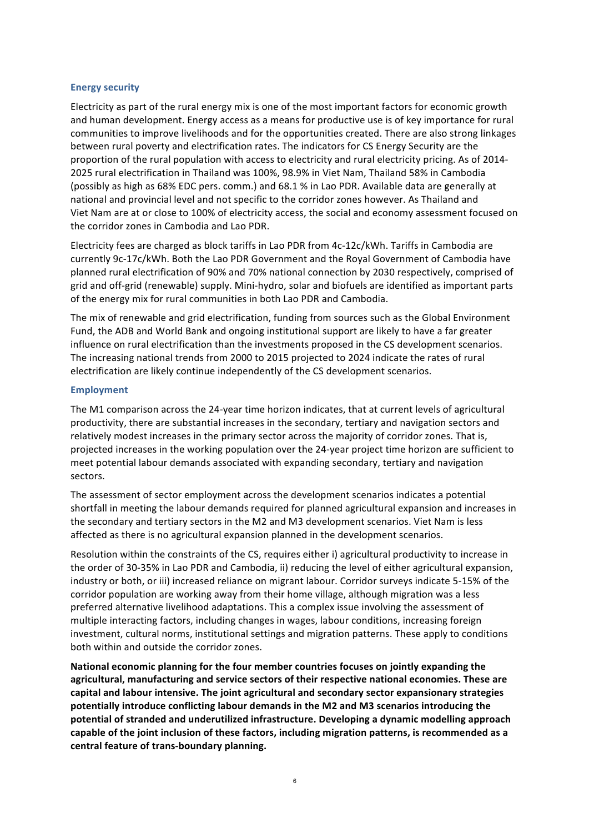#### **Energy security**

Electricity as part of the rural energy mix is one of the most important factors for economic growth and human development. Energy access as a means for productive use is of key importance for rural communities to improve livelihoods and for the opportunities created. There are also strong linkages between rural poverty and electrification rates. The indicators for CS Energy Security are the proportion of the rural population with access to electricity and rural electricity pricing. As of 2014-2025 rural electrification in Thailand was 100%, 98.9% in Viet Nam, Thailand 58% in Cambodia (possibly as high as 68% EDC pers. comm.) and 68.1 % in Lao PDR. Available data are generally at national and provincial level and not specific to the corridor zones however. As Thailand and Viet Nam are at or close to 100% of electricity access, the social and economy assessment focused on the corridor zones in Cambodia and Lao PDR.

Electricity fees are charged as block tariffs in Lao PDR from 4c-12c/kWh. Tariffs in Cambodia are currently 9c-17c/kWh. Both the Lao PDR Government and the Royal Government of Cambodia have planned rural electrification of 90% and 70% national connection by 2030 respectively, comprised of grid and off-grid (renewable) supply. Mini-hydro, solar and biofuels are identified as important parts of the energy mix for rural communities in both Lao PDR and Cambodia.

The mix of renewable and grid electrification, funding from sources such as the Global Environment Fund, the ADB and World Bank and ongoing institutional support are likely to have a far greater influence on rural electrification than the investments proposed in the CS development scenarios. The increasing national trends from 2000 to 2015 projected to 2024 indicate the rates of rural electrification are likely continue independently of the CS development scenarios.

#### **Employment**

The M1 comparison across the 24-year time horizon indicates, that at current levels of agricultural productivity, there are substantial increases in the secondary, tertiary and navigation sectors and relatively modest increases in the primary sector across the majority of corridor zones. That is, projected increases in the working population over the 24-year project time horizon are sufficient to meet potential labour demands associated with expanding secondary, tertiary and navigation sectors. 

The assessment of sector employment across the development scenarios indicates a potential shortfall in meeting the labour demands required for planned agricultural expansion and increases in the secondary and tertiary sectors in the M2 and M3 development scenarios. Viet Nam is less affected as there is no agricultural expansion planned in the development scenarios.

Resolution within the constraints of the CS, requires either i) agricultural productivity to increase in the order of 30-35% in Lao PDR and Cambodia, ii) reducing the level of either agricultural expansion, industry or both, or iii) increased reliance on migrant labour. Corridor surveys indicate 5-15% of the corridor population are working away from their home village, although migration was a less preferred alternative livelihood adaptations. This a complex issue involving the assessment of multiple interacting factors, including changes in wages, labour conditions, increasing foreign investment, cultural norms, institutional settings and migration patterns. These apply to conditions both within and outside the corridor zones.

**National economic planning for the four member countries focuses on jointly expanding the** agricultural, manufacturing and service sectors of their respective national economies. These are capital and labour intensive. The joint agricultural and secondary sector expansionary strategies potentially introduce conflicting labour demands in the M2 and M3 scenarios introducing the potential of stranded and underutilized infrastructure. Developing a dynamic modelling approach capable of the joint inclusion of these factors, including migration patterns, is recommended as a central feature of trans-boundary planning.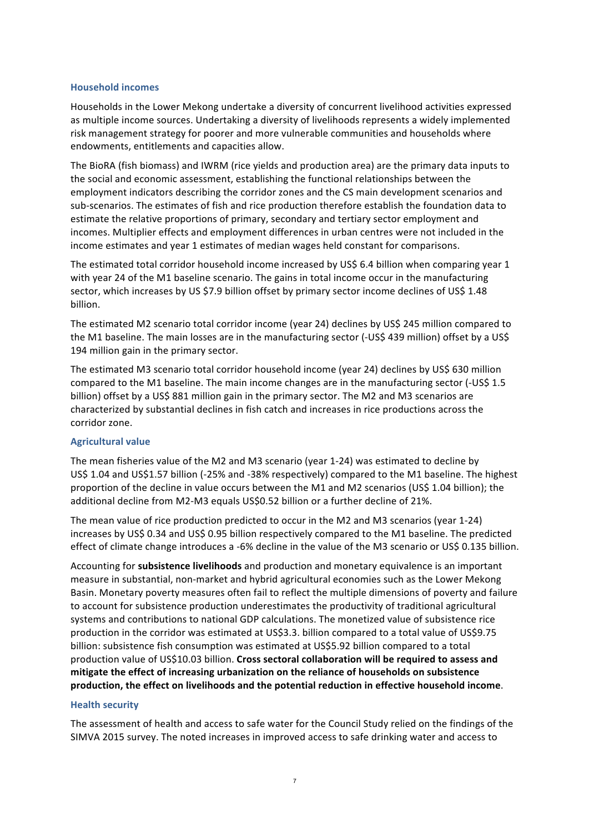#### **Household incomes**

Households in the Lower Mekong undertake a diversity of concurrent livelihood activities expressed as multiple income sources. Undertaking a diversity of livelihoods represents a widely implemented risk management strategy for poorer and more vulnerable communities and households where endowments, entitlements and capacities allow.

The BioRA (fish biomass) and IWRM (rice yields and production area) are the primary data inputs to the social and economic assessment, establishing the functional relationships between the employment indicators describing the corridor zones and the CS main development scenarios and sub-scenarios. The estimates of fish and rice production therefore establish the foundation data to estimate the relative proportions of primary, secondary and tertiary sector employment and incomes. Multiplier effects and employment differences in urban centres were not included in the income estimates and year 1 estimates of median wages held constant for comparisons.

The estimated total corridor household income increased by US\$ 6.4 billion when comparing year 1 with year 24 of the M1 baseline scenario. The gains in total income occur in the manufacturing sector, which increases by US \$7.9 billion offset by primary sector income declines of US\$ 1.48 billion. 

The estimated M2 scenario total corridor income (year 24) declines by US\$ 245 million compared to the M1 baseline. The main losses are in the manufacturing sector (-US\$ 439 million) offset by a US\$ 194 million gain in the primary sector.

The estimated M3 scenario total corridor household income (year 24) declines by US\$ 630 million compared to the M1 baseline. The main income changes are in the manufacturing sector (-US\$ 1.5 billion) offset by a US\$ 881 million gain in the primary sector. The M2 and M3 scenarios are characterized by substantial declines in fish catch and increases in rice productions across the corridor zone.

#### **Agricultural value**

The mean fisheries value of the M2 and M3 scenario (year 1-24) was estimated to decline by US\$ 1.04 and US\$1.57 billion (-25% and -38% respectively) compared to the M1 baseline. The highest proportion of the decline in value occurs between the M1 and M2 scenarios (US\$ 1.04 billion); the additional decline from M2-M3 equals US\$0.52 billion or a further decline of 21%.

The mean value of rice production predicted to occur in the M2 and M3 scenarios (year 1-24) increases by US\$ 0.34 and US\$ 0.95 billion respectively compared to the M1 baseline. The predicted effect of climate change introduces a -6% decline in the value of the M3 scenario or US\$ 0.135 billion.

Accounting for **subsistence livelihoods** and production and monetary equivalence is an important measure in substantial, non-market and hybrid agricultural economies such as the Lower Mekong Basin. Monetary poverty measures often fail to reflect the multiple dimensions of poverty and failure to account for subsistence production underestimates the productivity of traditional agricultural systems and contributions to national GDP calculations. The monetized value of subsistence rice production in the corridor was estimated at US\$3.3. billion compared to a total value of US\$9.75 billion: subsistence fish consumption was estimated at US\$5.92 billion compared to a total production value of US\$10.03 billion. Cross sectoral collaboration will be required to assess and mitigate the effect of increasing urbanization on the reliance of households on subsistence production, the effect on livelihoods and the potential reduction in effective household income.

#### **Health security**

The assessment of health and access to safe water for the Council Study relied on the findings of the SIMVA 2015 survey. The noted increases in improved access to safe drinking water and access to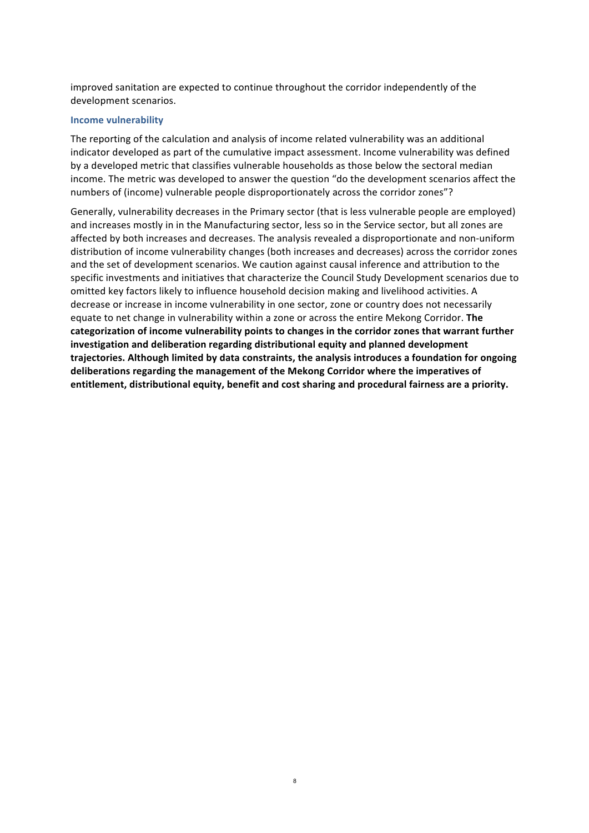improved sanitation are expected to continue throughout the corridor independently of the development scenarios.

#### **Income vulnerability**

The reporting of the calculation and analysis of income related vulnerability was an additional indicator developed as part of the cumulative impact assessment. Income vulnerability was defined by a developed metric that classifies vulnerable households as those below the sectoral median income. The metric was developed to answer the question "do the development scenarios affect the numbers of (income) vulnerable people disproportionately across the corridor zones"?

Generally, vulnerability decreases in the Primary sector (that is less vulnerable people are employed) and increases mostly in in the Manufacturing sector, less so in the Service sector, but all zones are affected by both increases and decreases. The analysis revealed a disproportionate and non-uniform distribution of income vulnerability changes (both increases and decreases) across the corridor zones and the set of development scenarios. We caution against causal inference and attribution to the specific investments and initiatives that characterize the Council Study Development scenarios due to omitted key factors likely to influence household decision making and livelihood activities. A decrease or increase in income vulnerability in one sector, zone or country does not necessarily equate to net change in vulnerability within a zone or across the entire Mekong Corridor. **The** categorization of income vulnerability points to changes in the corridor zones that warrant further investigation and deliberation regarding distributional equity and planned development trajectories. Although limited by data constraints, the analysis introduces a foundation for ongoing deliberations regarding the management of the Mekong Corridor where the imperatives of entitlement, distributional equity, benefit and cost sharing and procedural fairness are a priority.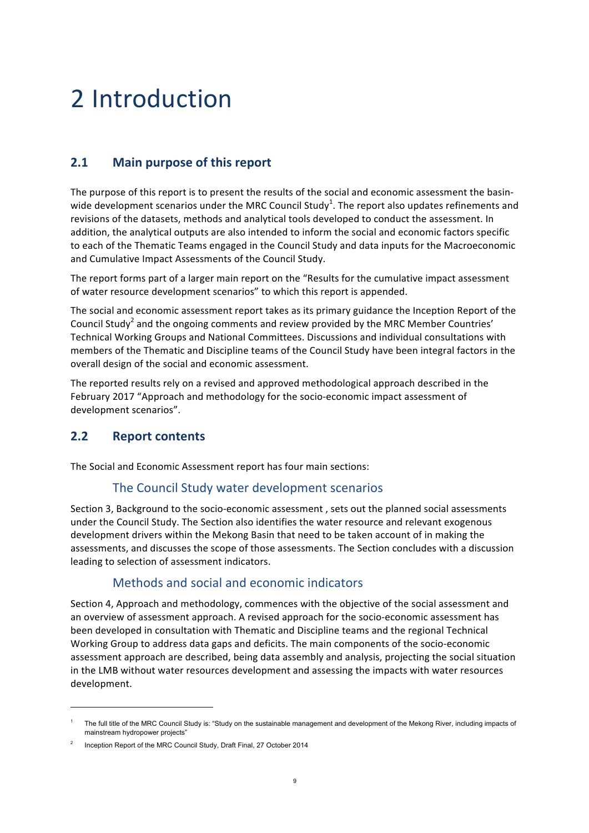# 2 Introduction

### **2.1 Main purpose of this report**

The purpose of this report is to present the results of the social and economic assessment the basinwide development scenarios under the MRC Council Study<sup>1</sup>. The report also updates refinements and revisions of the datasets, methods and analytical tools developed to conduct the assessment. In addition, the analytical outputs are also intended to inform the social and economic factors specific to each of the Thematic Teams engaged in the Council Study and data inputs for the Macroeconomic and Cumulative Impact Assessments of the Council Study.

The report forms part of a larger main report on the "Results for the cumulative impact assessment of water resource development scenarios" to which this report is appended.

The social and economic assessment report takes as its primary guidance the Inception Report of the Council Study<sup>2</sup> and the ongoing comments and review provided by the MRC Member Countries' Technical Working Groups and National Committees. Discussions and individual consultations with members of the Thematic and Discipline teams of the Council Study have been integral factors in the overall design of the social and economic assessment.

The reported results rely on a revised and approved methodological approach described in the February 2017 "Approach and methodology for the socio-economic impact assessment of development scenarios".

### **2.2 Report contents**

The Social and Economic Assessment report has four main sections:

### The Council Study water development scenarios

Section 3, Background to the socio-economic assessment, sets out the planned social assessments under the Council Study. The Section also identifies the water resource and relevant exogenous development drivers within the Mekong Basin that need to be taken account of in making the assessments, and discusses the scope of those assessments. The Section concludes with a discussion leading to selection of assessment indicators.

### Methods and social and economic indicators

Section 4, Approach and methodology, commences with the objective of the social assessment and an overview of assessment approach. A revised approach for the socio-economic assessment has been developed in consultation with Thematic and Discipline teams and the regional Technical Working Group to address data gaps and deficits. The main components of the socio-economic assessment approach are described, being data assembly and analysis, projecting the social situation in the LMB without water resources development and assessing the impacts with water resources development. 

 

The full title of the MRC Council Study is: "Study on the sustainable management and development of the Mekong River, including impacts of mainstream hydropower projects"

<sup>2</sup> Inception Report of the MRC Council Study, Draft Final, 27 October 2014